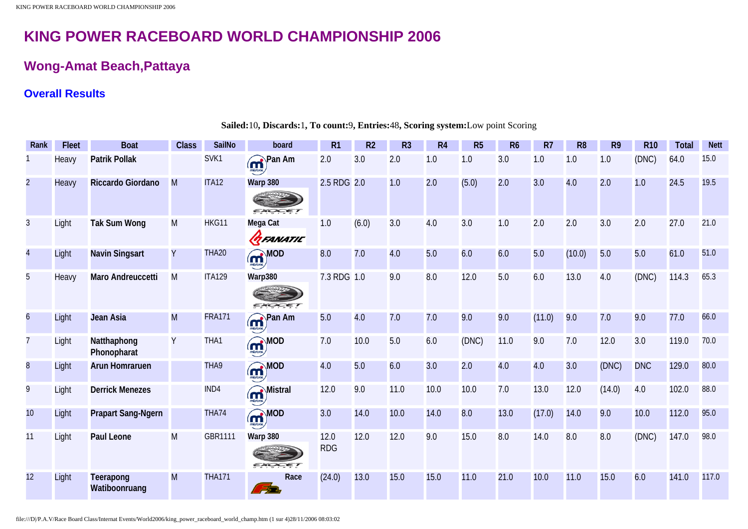## **Wong-Amat Beach,Pattaya**

## **Overall Results**

| Rank                    | <b>Fleet</b> | <b>Boat</b>                | <b>Class</b> | <b>SailNo</b>  | board                               | R1                 | R <sub>2</sub> | R <sub>3</sub> | R <sub>4</sub> | R <sub>5</sub> | R <sub>6</sub> | R7     | R <sub>8</sub> | R <sub>9</sub> | <b>R10</b> | <b>Total</b> | <b>Nett</b> |
|-------------------------|--------------|----------------------------|--------------|----------------|-------------------------------------|--------------------|----------------|----------------|----------------|----------------|----------------|--------|----------------|----------------|------------|--------------|-------------|
|                         | Heavy        | <b>Patrik Pollak</b>       |              | SVK1           | <b>m</b> <sup>Pan Am</sup>          | 2.0                | 3.0            | 2.0            | 1.0            | 1.0            | 3.0            | 1.0    | 1.0            | 1.0            | (DNC)      | 64.0         | 15.0        |
| $\overline{2}$          | Heavy        | Riccardo Giordano          | M            | <b>ITA12</b>   | Warp 380<br>EXOCET                  | 2.5 RDG 2.0        |                | 1.0            | 2.0            | (5.0)          | 2.0            | 3.0    | 4.0            | 2.0            | 1.0        | 24.5         | 19.5        |
| 3                       | Light        | <b>Tak Sum Wong</b>        | M            | HKG11          | Mega Cat<br><b>GEANATIC</b>         | 1.0                | (6.0)          | 3.0            | 4.0            | 3.0            | 1.0            | 2.0    | 2.0            | 3.0            | 2.0        | 27.0         | 21.0        |
| $\overline{\mathbf{4}}$ | Light        | <b>Navin Singsart</b>      | Y            | <b>THA20</b>   | $\mathbf{\widehat{m}}^{\text{MOD}}$ | 8.0                | 7.0            | 4.0            | 5.0            | 6.0            | 6.0            | 5.0    | (10.0)         | 5.0            | 5.0        | 61.0         | 51.0        |
| 5                       | Heavy        | Maro Andreuccetti          | M            | <b>ITA129</b>  | Warp380<br>EXOCET                   | 7.3 RDG 1.0        |                | 9.0            | 8.0            | 12.0           | 5.0            | 6.0    | 13.0           | 4.0            | (DNC)      | 114.3        | 65.3        |
| $\overline{6}$          | Light        | Jean Asia                  | M            | <b>FRA171</b>  | <b>m</b> Pan Am                     | 5.0                | 4.0            | 7.0            | 7.0            | 9.0            | 9.0            | (11.0) | 9.0            | 7.0            | 9.0        | 77.0         | 66.0        |
| $\overline{7}$          | Light        | Natthaphong<br>Phonopharat | Y            | THA1           | <b>MOD</b>                          | 7.0                | 10.0           | 5.0            | 6.0            | (DNC)          | 11.0           | 9.0    | 7.0            | 12.0           | 3.0        | 119.0        | 70.0        |
| $\overline{8}$          | Light        | <b>Arun Homraruen</b>      |              | THA9           | <b>m</b> <sub>MOD</sub>             | 4.0                | 5.0            | 6.0            | 3.0            | 2.0            | 4.0            | 4.0    | 3.0            | (DNC)          | <b>DNC</b> | 129.0        | 80.0        |
| 9                       | Light        | <b>Derrick Menezes</b>     |              | IND4           | m <sup>Mistral</sup>                | 12.0               | 9.0            | 11.0           | 10.0           | 10.0           | 7.0            | 13.0   | 12.0           | (14.0)         | 4.0        | 102.0        | 88.0        |
| 10                      | Light        | <b>Prapart Sang-Ngern</b>  |              | THA74          | <b>m</b> <sub>MOD</sub>             | 3.0                | 14.0           | 10.0           | 14.0           | 0.8            | 13.0           | (17.0) | 14.0           | 9.0            | 10.0       | 112.0        | 95.0        |
| 11                      | Light        | <b>Paul Leone</b>          | M            | <b>GBR1111</b> | Warp 380<br>EXO<br>$-27$            | 12.0<br><b>RDG</b> | 12.0           | 12.0           | 9.0            | 15.0           | 8.0            | 14.0   | 0.8            | 8.0            | (DNC)      | 147.0        | 98.0        |
| 12                      | Light        | Teerapong<br>Watiboonruang | M            | <b>THA171</b>  | Race<br>الترتي                      | (24.0)             | 13.0           | 15.0           | 15.0           | 11.0           | 21.0           | 10.0   | 11.0           | 15.0           | 6.0        | 141.0        | 117.0       |

**Sailed:**10**, Discards:**1**, To count:**9**, Entries:**48**, Scoring system:**Low point Scoring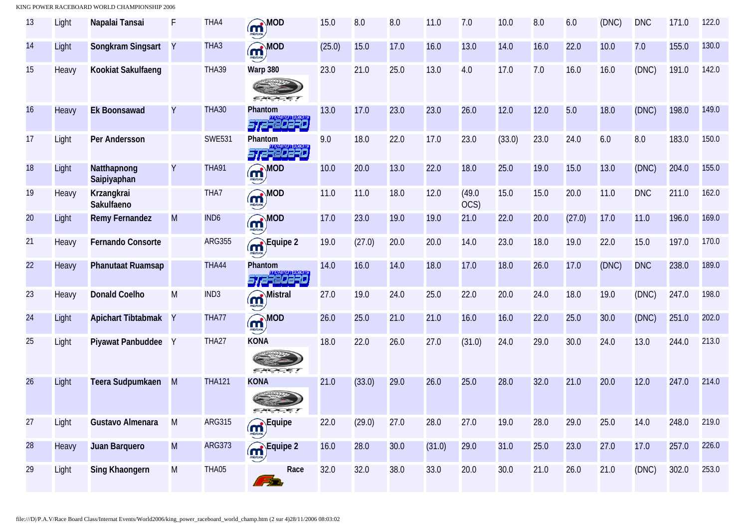| 13 | Light | Napalai Tansai             | F            | THA4             | <b>m</b> OD                                        | 15.0   | 8.0    | 8.0  | 11.0   | 7.0            | 10.0   | 8.0  | 6.0    | (DNC) | <b>DNC</b> | 171.0 | 122.0 |
|----|-------|----------------------------|--------------|------------------|----------------------------------------------------|--------|--------|------|--------|----------------|--------|------|--------|-------|------------|-------|-------|
| 14 | Light | Songkram Singsart          | Y            | THA3             | <b>missary</b> MOD                                 | (25.0) | 15.0   | 17.0 | 16.0   | 13.0           | 14.0   | 16.0 | 22.0   | 10.0  | 7.0        | 155.0 | 130.0 |
| 15 | Heavy | Kookiat Sakulfaeng         |              | THA39            | Warp 380<br>EXOCET                                 | 23.0   | 21.0   | 25.0 | 13.0   | 4.0            | 17.0   | 7.0  | 16.0   | 16.0  | (DNC)      | 191.0 | 142.0 |
| 16 | Heavy | <b>Ek Boonsawad</b>        | Y            | <b>THA30</b>     | Phantom<br>57,2380230                              | 13.0   | 17.0   | 23.0 | 23.0   | 26.0           | 12.0   | 12.0 | 5.0    | 18.0  | (DNC)      | 198.0 | 149.0 |
| 17 | Light | Per Andersson              |              | <b>SWE531</b>    | Phantom<br>572380230                               | 9.0    | 18.0   | 22.0 | 17.0   | 23.0           | (33.0) | 23.0 | 24.0   | 6.0   | 8.0        | 183.0 | 150.0 |
| 18 | Light | Natthapnong<br>Saipiyaphan | Y            | <b>THA91</b>     | <b>m</b> OD                                        | 10.0   | 20.0   | 13.0 | 22.0   | 18.0           | 25.0   | 19.0 | 15.0   | 13.0  | (DNC)      | 204.0 | 155.0 |
| 19 | Heavy | Krzangkrai<br>Sakulfaeno   |              | THA7             | <b>m</b> OD                                        | 11.0   | 11.0   | 18.0 | 12.0   | (49.0)<br>OCS) | 15.0   | 15.0 | 20.0   | 11.0  | <b>DNC</b> | 211.0 | 162.0 |
| 20 | Light | <b>Remy Fernandez</b>      | M            | IND <sub>6</sub> | <b>m</b> <sub>ntra</sub> MOD                       | 17.0   | 23.0   | 19.0 | 19.0   | 21.0           | 22.0   | 20.0 | (27.0) | 17.0  | 11.0       | 196.0 | 169.0 |
| 21 | Heavy | <b>Fernando Consorte</b>   |              | <b>ARG355</b>    | Equipe 2                                           | 19.0   | (27.0) | 20.0 | 20.0   | 14.0           | 23.0   | 18.0 | 19.0   | 22.0  | 15.0       | 197.0 | 170.0 |
| 22 | Heavy | <b>Phanutaat Ruamsap</b>   |              | THA44            | Phantom<br>57,2780270                              | 14.0   | 16.0   | 14.0 | 18.0   | 17.0           | 18.0   | 26.0 | 17.0   | (DNC) | <b>DNC</b> | 238.0 | 189.0 |
| 23 | Heavy | <b>Donald Coelho</b>       | M            | IND <sub>3</sub> | m <sup>Mistral</sup>                               | 27.0   | 19.0   | 24.0 | 25.0   | 22.0           | 20.0   | 24.0 | 18.0   | 19.0  | (DNC)      | 247.0 | 198.0 |
| 24 | Light | <b>Apichart Tibtabmak</b>  | $\mathsf{Y}$ | THA77            | <b>m</b> OD                                        | 26.0   | 25.0   | 21.0 | 21.0   | 16.0           | 16.0   | 22.0 | 25.0   | 30.0  | (DNC)      | 251.0 | 202.0 |
| 25 | Light | Piyawat Panbuddee          | Y            | THA27            | <b>KONA</b><br>EXOCET                              | 18.0   | 22.0   | 26.0 | 27.0   | (31.0)         | 24.0   | 29.0 | 30.0   | 24.0  | 13.0       | 244.0 | 213.0 |
| 26 | Light | Teera Sudpumkaen           | M            | <b>THA121</b>    | <b>KONA</b><br><b>EXCKET</b>                       | 21.0   | (33.0) | 29.0 | 26.0   | 25.0           | 28.0   | 32.0 | 21.0   | 20.0  | 12.0       | 247.0 | 214.0 |
| 27 | Light | Gustavo Almenara           | M            | <b>ARG315</b>    | <b>CONTROL</b><br><b>CONTROL</b><br><b>CONTROL</b> | 22.0   | (29.0) | 27.0 | 28.0   | 27.0           | 19.0   | 28.0 | 29.0   | 25.0  | 14.0       | 248.0 | 219.0 |
| 28 | Heavy | Juan Barquero              | M            | <b>ARG373</b>    | Equipe 2                                           | 16.0   | 28.0   | 30.0 | (31.0) | 29.0           | 31.0   | 25.0 | 23.0   | 27.0  | 17.0       | 257.0 | 226.0 |
| 29 | Light | <b>Sing Khaongern</b>      | M            | THA05            | Race<br>ria,                                       | 32.0   | 32.0   | 38.0 | 33.0   | 20.0           | 30.0   | 21.0 | 26.0   | 21.0  | (DNC)      | 302.0 | 253.0 |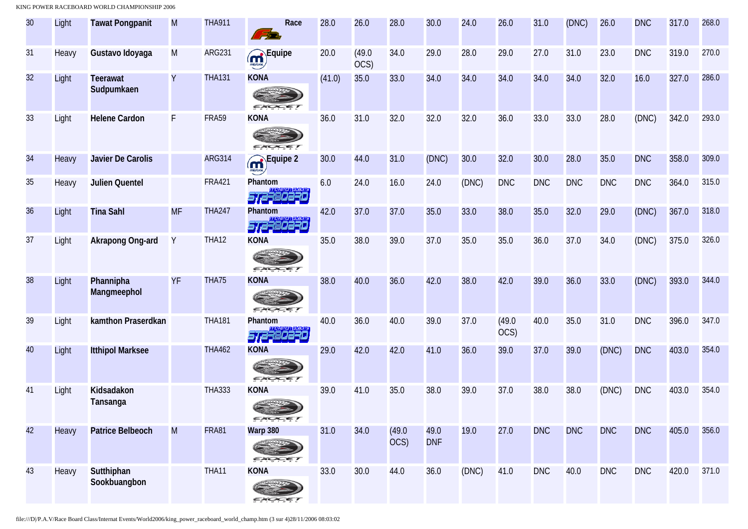| 30              | Light | <b>Tawat Pongpanit</b>        | M         | <b>THA911</b> | Race<br>F.                    | 28.0   | 26.0           | 28.0           | 30.0               | 24.0  | 26.0           | 31.0       | (DNC)      | 26.0       | <b>DNC</b> | 317.0 | 268.0 |
|-----------------|-------|-------------------------------|-----------|---------------|-------------------------------|--------|----------------|----------------|--------------------|-------|----------------|------------|------------|------------|------------|-------|-------|
| 31              | Heavy | Gustavo Idoyaga               | M         | <b>ARG231</b> | Equipe                        | 20.0   | (49.0)<br>OCS) | 34.0           | 29.0               | 28.0  | 29.0           | 27.0       | 31.0       | 23.0       | <b>DNC</b> | 319.0 | 270.0 |
| 32              | Light | <b>Teerawat</b><br>Sudpumkaen | Υ         | <b>THA131</b> | <b>KONA</b><br><i>EXOCET</i>  | (41.0) | 35.0           | 33.0           | 34.0               | 34.0  | 34.0           | 34.0       | 34.0       | 32.0       | 16.0       | 327.0 | 286.0 |
| 33              | Light | <b>Helene Cardon</b>          | F         | <b>FRA59</b>  | <b>KONA</b><br>EXO            | 36.0   | 31.0           | 32.0           | 32.0               | 32.0  | 36.0           | 33.0       | 33.0       | 28.0       | (DNC)      | 342.0 | 293.0 |
| 34              | Heavy | Javier De Carolis             |           | <b>ARG314</b> | <b>M</b> Equipe 2             | 30.0   | 44.0           | 31.0           | (DNC)              | 30.0  | 32.0           | 30.0       | 28.0       | 35.0       | <b>DNC</b> | 358.0 | 309.0 |
| 35 <sub>5</sub> | Heavy | <b>Julien Quentel</b>         |           | <b>FRA421</b> | Phantom<br>572380230          | 6.0    | 24.0           | 16.0           | 24.0               | (DNC) | <b>DNC</b>     | <b>DNC</b> | <b>DNC</b> | <b>DNC</b> | <b>DNC</b> | 364.0 | 315.0 |
| 36              | Light | <b>Tina Sahl</b>              | <b>MF</b> | <b>THA247</b> | Phantom<br>572380230          | 42.0   | 37.0           | 37.0           | 35.0               | 33.0  | 38.0           | 35.0       | 32.0       | 29.0       | (DNC)      | 367.0 | 318.0 |
| 37              | Light | Akrapong Ong-ard              | Y         | <b>THA12</b>  | <b>KONA</b><br>EXOCET         | 35.0   | 38.0           | 39.0           | 37.0               | 35.0  | 35.0           | 36.0       | 37.0       | 34.0       | (DNC)      | 375.0 | 326.0 |
| 38              | Light | Phannipha<br>Mangmeephol      | YF        | THA75         | <b>KONA</b><br>EXOCET         | 38.0   | 40.0           | 36.0           | 42.0               | 38.0  | 42.0           | 39.0       | 36.0       | 33.0       | (DNC)      | 393.0 | 344.0 |
| 39              | Light | kamthon Praserdkan            |           | <b>THA181</b> | Phantom<br>572380230          | 40.0   | 36.0           | 40.0           | 39.0               | 37.0  | (49.0)<br>OCS) | 40.0       | 35.0       | 31.0       | <b>DNC</b> | 396.0 | 347.0 |
| 40              | Light | <b>Itthipol Marksee</b>       |           | <b>THA462</b> | <b>KONA</b><br>EXOCET         | 29.0   | 42.0           | 42.0           | 41.0               | 36.0  | 39.0           | 37.0       | 39.0       | (DNC)      | <b>DNC</b> | 403.0 | 354.0 |
| 41              | Light | Kidsadakon<br>Tansanga        |           | <b>THA333</b> | <b>KONA</b><br>EXOCET         | 39.0   | 41.0           | 35.0           | 38.0               | 39.0  | 37.0           | 38.0       | 38.0       | (DNC)      | <b>DNC</b> | 403.0 | 354.0 |
| 42              | Heavy | <b>Patrice Belbeoch</b>       | M         | <b>FRA81</b>  | Warp 380<br>EXOCE             | 31.0   | 34.0           | (49.0)<br>OCS) | 49.0<br><b>DNF</b> | 19.0  | 27.0           | <b>DNC</b> | <b>DNC</b> | <b>DNC</b> | <b>DNC</b> | 405.0 | 356.0 |
| 43              | Heavy | Sutthiphan<br>Sookbuangbon    |           | THA11         | <b>KONA</b><br>$ \sim$ $\sim$ | 33.0   | 30.0           | 44.0           | 36.0               | (DNC) | 41.0           | <b>DNC</b> | 40.0       | <b>DNC</b> | <b>DNC</b> | 420.0 | 371.0 |

file:///D|/P.A.V/Race Board Class/Internat Events/World2006/king\_power\_raceboard\_world\_champ.htm (3 sur 4)28/11/2006 08:03:02